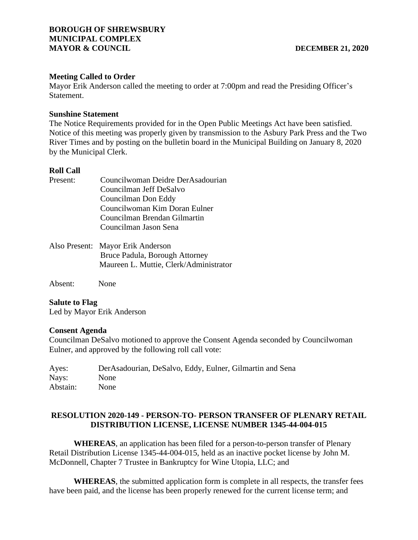# **Meeting Called to Order**

Mayor Erik Anderson called the meeting to order at 7:00pm and read the Presiding Officer's Statement.

### **Sunshine Statement**

The Notice Requirements provided for in the Open Public Meetings Act have been satisfied. Notice of this meeting was properly given by transmission to the Asbury Park Press and the Two River Times and by posting on the bulletin board in the Municipal Building on January 8, 2020 by the Municipal Clerk.

### **Roll Call**

| Present: | Councilwoman Deidre DerAsadourian      |  |
|----------|----------------------------------------|--|
|          | Councilman Jeff DeSalvo                |  |
|          | Councilman Don Eddy                    |  |
|          | Councilwoman Kim Doran Eulner          |  |
|          | Councilman Brendan Gilmartin           |  |
|          | Councilman Jason Sena                  |  |
|          | Also Present: Mayor Erik Anderson      |  |
|          | Bruce Padula, Borough Attorney         |  |
|          | Maureen L. Muttie, Clerk/Administrator |  |
|          |                                        |  |

Absent: None

### **Salute to Flag**

Led by Mayor Erik Anderson

### **Consent Agenda**

Councilman DeSalvo motioned to approve the Consent Agenda seconded by Councilwoman Eulner, and approved by the following roll call vote:

Ayes: DerAsadourian, DeSalvo, Eddy, Eulner, Gilmartin and Sena Nays: None Abstain: None

# **RESOLUTION 2020-149 - PERSON-TO- PERSON TRANSFER OF PLENARY RETAIL DISTRIBUTION LICENSE, LICENSE NUMBER 1345-44-004-015**

**WHEREAS**, an application has been filed for a person-to-person transfer of Plenary Retail Distribution License 1345-44-004-015, held as an inactive pocket license by John M. McDonnell, Chapter 7 Trustee in Bankruptcy for Wine Utopia, LLC; and

**WHEREAS**, the submitted application form is complete in all respects, the transfer fees have been paid, and the license has been properly renewed for the current license term; and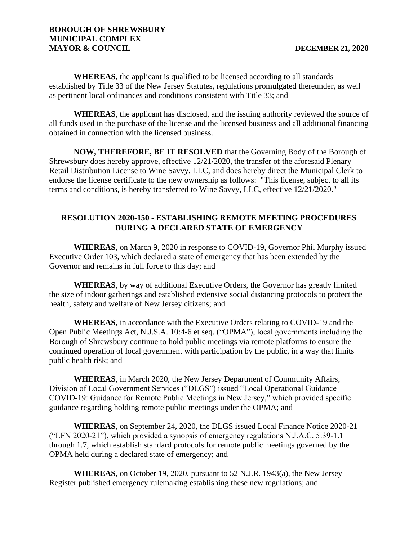# **BOROUGH OF SHREWSBURY MUNICIPAL COMPLEX MAYOR & COUNCIL DECEMBER 21, 2020**

**WHEREAS**, the applicant is qualified to be licensed according to all standards established by Title 33 of the New Jersey Statutes, regulations promulgated thereunder, as well as pertinent local ordinances and conditions consistent with Title 33; and

**WHEREAS**, the applicant has disclosed, and the issuing authority reviewed the source of all funds used in the purchase of the license and the licensed business and all additional financing obtained in connection with the licensed business.

**NOW, THEREFORE, BE IT RESOLVED** that the Governing Body of the Borough of Shrewsbury does hereby approve, effective 12/21/2020, the transfer of the aforesaid Plenary Retail Distribution License to Wine Savvy, LLC, and does hereby direct the Municipal Clerk to endorse the license certificate to the new ownership as follows: "This license, subject to all its terms and conditions, is hereby transferred to Wine Savvy, LLC, effective 12/21/2020."

# **RESOLUTION 2020-150 - ESTABLISHING REMOTE MEETING PROCEDURES DURING A DECLARED STATE OF EMERGENCY**

**WHEREAS**, on March 9, 2020 in response to COVID-19, Governor Phil Murphy issued Executive Order 103, which declared a state of emergency that has been extended by the Governor and remains in full force to this day; and

**WHEREAS**, by way of additional Executive Orders, the Governor has greatly limited the size of indoor gatherings and established extensive social distancing protocols to protect the health, safety and welfare of New Jersey citizens; and

**WHEREAS**, in accordance with the Executive Orders relating to COVID-19 and the Open Public Meetings Act, N.J.S.A. 10:4-6 et seq. ("OPMA"), local governments including the Borough of Shrewsbury continue to hold public meetings via remote platforms to ensure the continued operation of local government with participation by the public, in a way that limits public health risk; and

**WHEREAS**, in March 2020, the New Jersey Department of Community Affairs, Division of Local Government Services ("DLGS") issued "Local Operational Guidance – COVID-19: Guidance for Remote Public Meetings in New Jersey," which provided specific guidance regarding holding remote public meetings under the OPMA; and

**WHEREAS**, on September 24, 2020, the DLGS issued Local Finance Notice 2020-21 ("LFN 2020-21"), which provided a synopsis of emergency regulations N.J.A.C. 5:39-1.1 through 1.7, which establish standard protocols for remote public meetings governed by the OPMA held during a declared state of emergency; and

**WHEREAS**, on October 19, 2020, pursuant to 52 N.J.R. 1943(a), the New Jersey Register published emergency rulemaking establishing these new regulations; and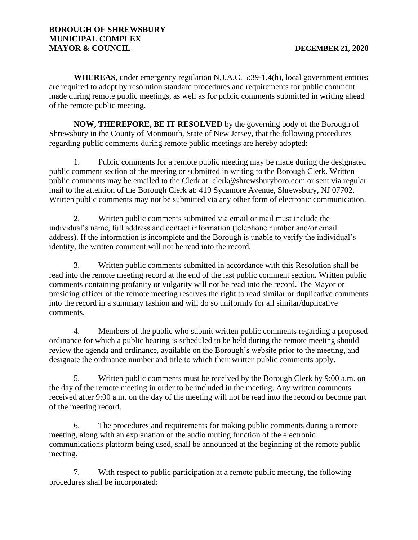**WHEREAS**, under emergency regulation N.J.A.C. 5:39-1.4(h), local government entities are required to adopt by resolution standard procedures and requirements for public comment made during remote public meetings, as well as for public comments submitted in writing ahead of the remote public meeting.

**NOW, THEREFORE, BE IT RESOLVED** by the governing body of the Borough of Shrewsbury in the County of Monmouth, State of New Jersey, that the following procedures regarding public comments during remote public meetings are hereby adopted:

1. Public comments for a remote public meeting may be made during the designated public comment section of the meeting or submitted in writing to the Borough Clerk. Written public comments may be emailed to the Clerk at: clerk@shrewsburyboro.com or sent via regular mail to the attention of the Borough Clerk at: 419 Sycamore Avenue, Shrewsbury, NJ 07702. Written public comments may not be submitted via any other form of electronic communication.

2. Written public comments submitted via email or mail must include the individual's name, full address and contact information (telephone number and/or email address). If the information is incomplete and the Borough is unable to verify the individual's identity, the written comment will not be read into the record.

3. Written public comments submitted in accordance with this Resolution shall be read into the remote meeting record at the end of the last public comment section. Written public comments containing profanity or vulgarity will not be read into the record. The Mayor or presiding officer of the remote meeting reserves the right to read similar or duplicative comments into the record in a summary fashion and will do so uniformly for all similar/duplicative comments.

4. Members of the public who submit written public comments regarding a proposed ordinance for which a public hearing is scheduled to be held during the remote meeting should review the agenda and ordinance, available on the Borough's website prior to the meeting, and designate the ordinance number and title to which their written public comments apply.

5. Written public comments must be received by the Borough Clerk by 9:00 a.m. on the day of the remote meeting in order to be included in the meeting. Any written comments received after 9:00 a.m. on the day of the meeting will not be read into the record or become part of the meeting record.

6. The procedures and requirements for making public comments during a remote meeting, along with an explanation of the audio muting function of the electronic communications platform being used, shall be announced at the beginning of the remote public meeting.

7. With respect to public participation at a remote public meeting, the following procedures shall be incorporated: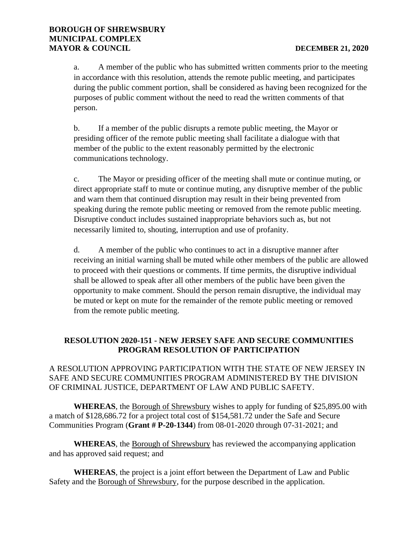a. A member of the public who has submitted written comments prior to the meeting in accordance with this resolution, attends the remote public meeting, and participates during the public comment portion, shall be considered as having been recognized for the purposes of public comment without the need to read the written comments of that person.

b. If a member of the public disrupts a remote public meeting, the Mayor or presiding officer of the remote public meeting shall facilitate a dialogue with that member of the public to the extent reasonably permitted by the electronic communications technology.

c. The Mayor or presiding officer of the meeting shall mute or continue muting, or direct appropriate staff to mute or continue muting, any disruptive member of the public and warn them that continued disruption may result in their being prevented from speaking during the remote public meeting or removed from the remote public meeting. Disruptive conduct includes sustained inappropriate behaviors such as, but not necessarily limited to, shouting, interruption and use of profanity.

d. A member of the public who continues to act in a disruptive manner after receiving an initial warning shall be muted while other members of the public are allowed to proceed with their questions or comments. If time permits, the disruptive individual shall be allowed to speak after all other members of the public have been given the opportunity to make comment. Should the person remain disruptive, the individual may be muted or kept on mute for the remainder of the remote public meeting or removed from the remote public meeting.

# **RESOLUTION 2020-151 - NEW JERSEY SAFE AND SECURE COMMUNITIES PROGRAM RESOLUTION OF PARTICIPATION**

# A RESOLUTION APPROVING PARTICIPATION WITH THE STATE OF NEW JERSEY IN SAFE AND SECURE COMMUNITIES PROGRAM ADMINISTERED BY THE DIVISION OF CRIMINAL JUSTICE, DEPARTMENT OF LAW AND PUBLIC SAFETY.

**WHEREAS**, the Borough of Shrewsbury wishes to apply for funding of \$25,895.00 with a match of \$128,686.72 for a project total cost of \$154,581.72 under the Safe and Secure Communities Program (**Grant # P-20-1344**) from 08-01-2020 through 07-31-2021; and

**WHEREAS**, the Borough of Shrewsbury has reviewed the accompanying application and has approved said request; and

**WHEREAS**, the project is a joint effort between the Department of Law and Public Safety and the Borough of Shrewsbury, for the purpose described in the application.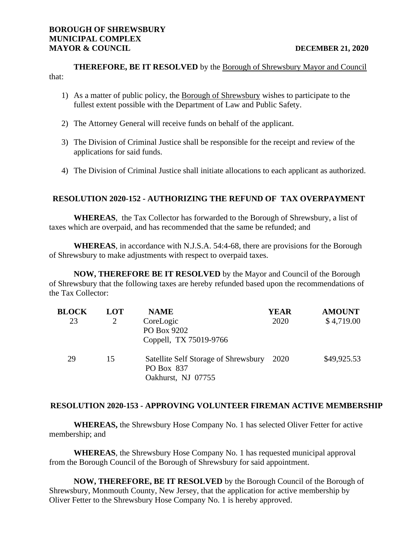**THEREFORE, BE IT RESOLVED** by the Borough of Shrewsbury Mayor and Council that:

- 1) As a matter of public policy, the Borough of Shrewsbury wishes to participate to the fullest extent possible with the Department of Law and Public Safety.
- 2) The Attorney General will receive funds on behalf of the applicant.
- 3) The Division of Criminal Justice shall be responsible for the receipt and review of the applications for said funds.
- 4) The Division of Criminal Justice shall initiate allocations to each applicant as authorized.

# **RESOLUTION 2020-152 - AUTHORIZING THE REFUND OF TAX OVERPAYMENT**

**WHEREAS**, the Tax Collector has forwarded to the Borough of Shrewsbury, a list of taxes which are overpaid, and has recommended that the same be refunded; and

**WHEREAS**, in accordance with N.J.S.A. 54:4-68, there are provisions for the Borough of Shrewsbury to make adjustments with respect to overpaid taxes.

**NOW, THEREFORE BE IT RESOLVED** by the Mayor and Council of the Borough of Shrewsbury that the following taxes are hereby refunded based upon the recommendations of the Tax Collector:

| <b>BLOCK</b> | LOT | <b>NAME</b>                                        | <b>YEAR</b> | <b>AMOUNT</b> |
|--------------|-----|----------------------------------------------------|-------------|---------------|
| 23           | 2   | CoreLogic<br>PO Box 9202                           | 2020        | \$4,719.00    |
|              |     | Coppell, TX 75019-9766                             |             |               |
| 29           | 15  | Satellite Self Storage of Shrewsbury<br>PO Box 837 | - 2020      | \$49,925.53   |
|              |     | Oakhurst, NJ 07755                                 |             |               |

### **RESOLUTION 2020-153 - APPROVING VOLUNTEER FIREMAN ACTIVE MEMBERSHIP**

**WHEREAS,** the Shrewsbury Hose Company No. 1 has selected Oliver Fetter for active membership; and

**WHEREAS**, the Shrewsbury Hose Company No. 1 has requested municipal approval from the Borough Council of the Borough of Shrewsbury for said appointment.

**NOW, THEREFORE, BE IT RESOLVED** by the Borough Council of the Borough of Shrewsbury, Monmouth County, New Jersey, that the application for active membership by Oliver Fetter to the Shrewsbury Hose Company No. 1 is hereby approved.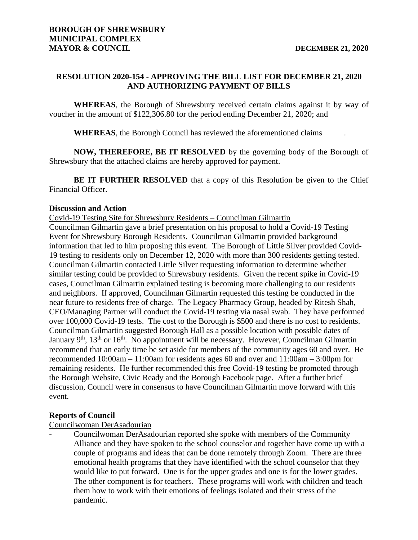# **RESOLUTION 2020-154 - APPROVING THE BILL LIST FOR DECEMBER 21, 2020 AND AUTHORIZING PAYMENT OF BILLS**

**WHEREAS**, the Borough of Shrewsbury received certain claims against it by way of voucher in the amount of \$122,306.80 for the period ending December 21, 2020; and

**WHEREAS**, the Borough Council has reviewed the aforementioned claims .

**NOW, THEREFORE, BE IT RESOLVED** by the governing body of the Borough of Shrewsbury that the attached claims are hereby approved for payment.

**BE IT FURTHER RESOLVED** that a copy of this Resolution be given to the Chief Financial Officer.

### **Discussion and Action**

Covid-19 Testing Site for Shrewsbury Residents – Councilman Gilmartin Councilman Gilmartin gave a brief presentation on his proposal to hold a Covid-19 Testing Event for Shrewsbury Borough Residents. Councilman Gilmartin provided background information that led to him proposing this event. The Borough of Little Silver provided Covid-19 testing to residents only on December 12, 2020 with more than 300 residents getting tested. Councilman Gilmartin contacted Little Silver requesting information to determine whether similar testing could be provided to Shrewsbury residents. Given the recent spike in Covid-19 cases, Councilman Gilmartin explained testing is becoming more challenging to our residents and neighbors. If approved, Councilman Gilmartin requested this testing be conducted in the near future to residents free of charge. The Legacy Pharmacy Group, headed by Ritesh Shah, CEO/Managing Partner will conduct the Covid-19 testing via nasal swab. They have performed over 100,000 Covid-19 tests. The cost to the Borough is \$500 and there is no cost to residents. Councilman Gilmartin suggested Borough Hall as a possible location with possible dates of January 9<sup>th</sup>, 13<sup>th</sup> or 16<sup>th</sup>. No appointment will be necessary. However, Councilman Gilmartin recommend that an early time be set aside for members of the community ages 60 and over. He recommended 10:00am – 11:00am for residents ages 60 and over and 11:00am – 3:00pm for remaining residents. He further recommended this free Covid-19 testing be promoted through the Borough Website, Civic Ready and the Borough Facebook page. After a further brief discussion, Council were in consensus to have Councilman Gilmartin move forward with this event.

### **Reports of Council**

Councilwoman DerAsadourian

- Councilwoman DerAsadourian reported she spoke with members of the Community Alliance and they have spoken to the school counselor and together have come up with a couple of programs and ideas that can be done remotely through Zoom. There are three emotional health programs that they have identified with the school counselor that they would like to put forward. One is for the upper grades and one is for the lower grades. The other component is for teachers. These programs will work with children and teach them how to work with their emotions of feelings isolated and their stress of the pandemic.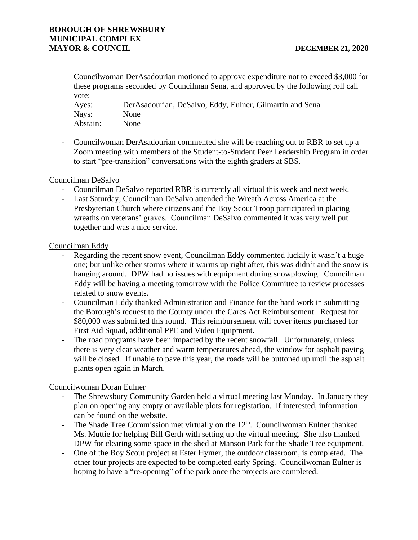# **BOROUGH OF SHREWSBURY MUNICIPAL COMPLEX MAYOR & COUNCIL DECEMBER 21, 2020**

Councilwoman DerAsadourian motioned to approve expenditure not to exceed \$3,000 for these programs seconded by Councilman Sena, and approved by the following roll call vote:

| Ayes:    | Der Asadourian, DeSalvo, Eddy, Eulner, Gilmartin and Sena |
|----------|-----------------------------------------------------------|
| Nays:    | <b>None</b>                                               |
| Abstain: | <b>None</b>                                               |

- Councilwoman DerAsadourian commented she will be reaching out to RBR to set up a Zoom meeting with members of the Student-to-Student Peer Leadership Program in order to start "pre-transition" conversations with the eighth graders at SBS.

# Councilman DeSalvo

- Councilman DeSalvo reported RBR is currently all virtual this week and next week.
- Last Saturday, Councilman DeSalvo attended the Wreath Across America at the Presbyterian Church where citizens and the Boy Scout Troop participated in placing wreaths on veterans' graves. Councilman DeSalvo commented it was very well put together and was a nice service.

# Councilman Eddy

- Regarding the recent snow event, Councilman Eddy commented luckily it wasn't a huge one; but unlike other storms where it warms up right after, this was didn't and the snow is hanging around. DPW had no issues with equipment during snowplowing. Councilman Eddy will be having a meeting tomorrow with the Police Committee to review processes related to snow events.
- Councilman Eddy thanked Administration and Finance for the hard work in submitting the Borough's request to the County under the Cares Act Reimbursement. Request for \$80,000 was submitted this round. This reimbursement will cover items purchased for First Aid Squad, additional PPE and Video Equipment.
- The road programs have been impacted by the recent snowfall. Unfortunately, unless there is very clear weather and warm temperatures ahead, the window for asphalt paving will be closed. If unable to pave this year, the roads will be buttoned up until the asphalt plants open again in March.

# Councilwoman Doran Eulner

- The Shrewsbury Community Garden held a virtual meeting last Monday. In January they plan on opening any empty or available plots for registation. If interested, information can be found on the website.
- The Shade Tree Commission met virtually on the  $12<sup>th</sup>$ . Councilwoman Eulner thanked Ms. Muttie for helping Bill Gerth with setting up the virtual meeting. She also thanked DPW for clearing some space in the shed at Manson Park for the Shade Tree equipment.
- One of the Boy Scout project at Ester Hymer, the outdoor classroom, is completed. The other four projects are expected to be completed early Spring. Councilwoman Eulner is hoping to have a "re-opening" of the park once the projects are completed.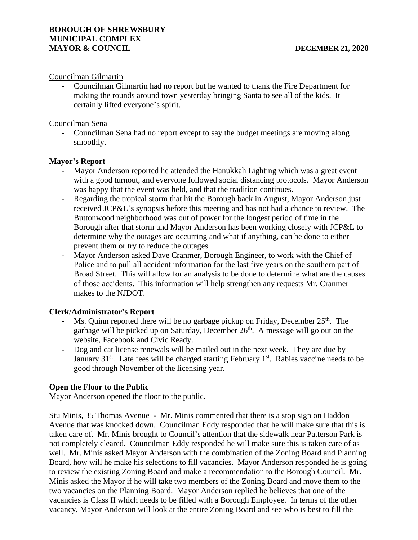### Councilman Gilmartin

- Councilman Gilmartin had no report but he wanted to thank the Fire Department for making the rounds around town yesterday bringing Santa to see all of the kids. It certainly lifted everyone's spirit.

# Councilman Sena

- Councilman Sena had no report except to say the budget meetings are moving along smoothly.

# **Mayor's Report**

- Mayor Anderson reported he attended the Hanukkah Lighting which was a great event with a good turnout, and everyone followed social distancing protocols. Mayor Anderson was happy that the event was held, and that the tradition continues.
- Regarding the tropical storm that hit the Borough back in August, Mayor Anderson just received JCP&L's synopsis before this meeting and has not had a chance to review. The Buttonwood neighborhood was out of power for the longest period of time in the Borough after that storm and Mayor Anderson has been working closely with JCP&L to determine why the outages are occurring and what if anything, can be done to either prevent them or try to reduce the outages.
- Mayor Anderson asked Dave Cranmer, Borough Engineer, to work with the Chief of Police and to pull all accident information for the last five years on the southern part of Broad Street. This will allow for an analysis to be done to determine what are the causes of those accidents. This information will help strengthen any requests Mr. Cranmer makes to the NJDOT.

# **Clerk/Administrator's Report**

- Ms. Quinn reported there will be no garbage pickup on Friday, December  $25<sup>th</sup>$ . The garbage will be picked up on Saturday, December  $26<sup>th</sup>$ . A message will go out on the website, Facebook and Civic Ready.
- Dog and cat license renewals will be mailed out in the next week. They are due by January  $31<sup>st</sup>$ . Late fees will be charged starting February  $1<sup>st</sup>$ . Rabies vaccine needs to be good through November of the licensing year.

# **Open the Floor to the Public**

Mayor Anderson opened the floor to the public.

Stu Minis, 35 Thomas Avenue - Mr. Minis commented that there is a stop sign on Haddon Avenue that was knocked down. Councilman Eddy responded that he will make sure that this is taken care of. Mr. Minis brought to Council's attention that the sidewalk near Patterson Park is not completely cleared. Councilman Eddy responded he will make sure this is taken care of as well. Mr. Minis asked Mayor Anderson with the combination of the Zoning Board and Planning Board, how will he make his selections to fill vacancies. Mayor Anderson responded he is going to review the existing Zoning Board and make a recommendation to the Borough Council. Mr. Minis asked the Mayor if he will take two members of the Zoning Board and move them to the two vacancies on the Planning Board. Mayor Anderson replied he believes that one of the vacancies is Class II which needs to be filled with a Borough Employee. In terms of the other vacancy, Mayor Anderson will look at the entire Zoning Board and see who is best to fill the